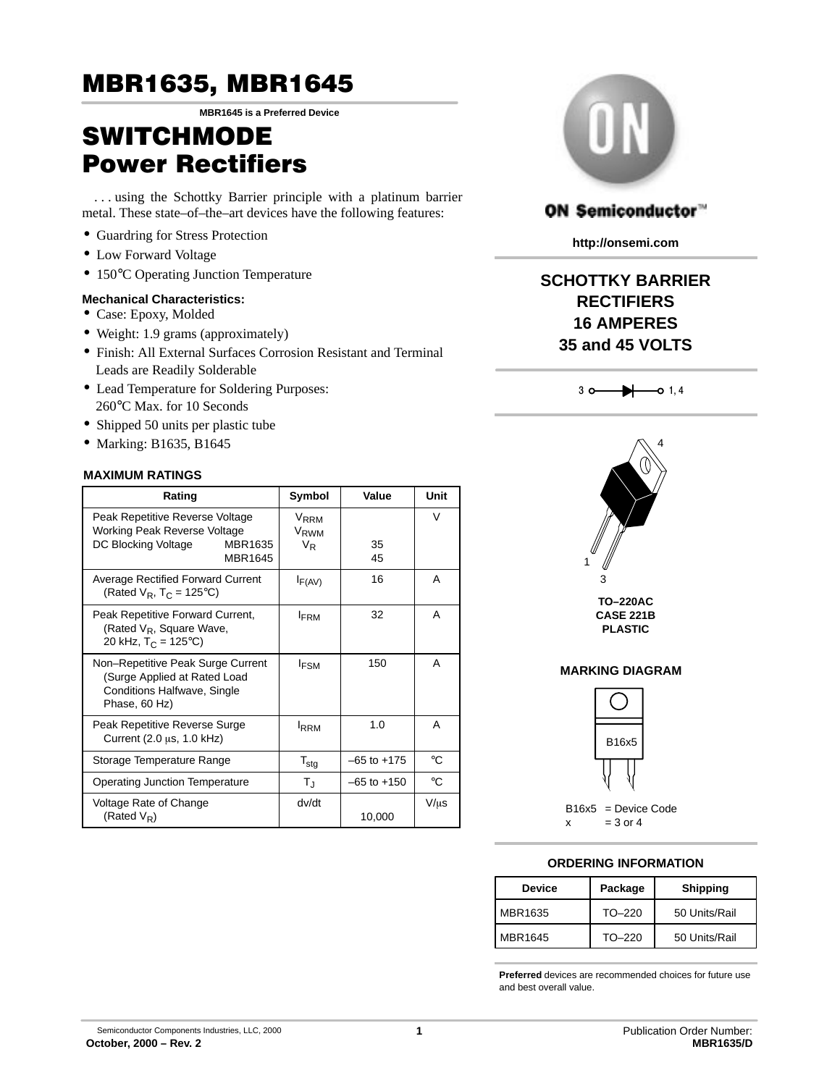# MBR1635, MBR1645

**MBR1645 is a Preferred Device**

# **SWITCHMODETM** Power Rectifiers

. . . using the Schottky Barrier principle with a platinum barrier metal. These state–of–the–art devices have the following features:

- Guardring for Stress Protection
- Low Forward Voltage
- 150°C Operating Junction Temperature

### **Mechanical Characteristics:**

- Case: Epoxy, Molded
- Weight: 1.9 grams (approximately)
- Finish: All External Surfaces Corrosion Resistant and Terminal Leads are Readily Solderable
- Lead Temperature for Soldering Purposes: 260°C Max. for 10 Seconds
- Shipped 50 units per plastic tube
- Marking: B1635, B1645

### **MAXIMUM RATINGS**

| Rating                                                                                                            | Symbol                                                   | Value           | Unit      |
|-------------------------------------------------------------------------------------------------------------------|----------------------------------------------------------|-----------------|-----------|
| Peak Repetitive Reverse Voltage<br>Working Peak Reverse Voltage<br>DC Blocking Voltage<br>MBR1635<br>MBR1645      | V <sub>RRM</sub><br>V <sub>RWM</sub><br>$V_{\mathsf{R}}$ | 35<br>45        | V         |
| Average Rectified Forward Current<br>(Rated $V_R$ , T <sub>C</sub> = 125°C)                                       | $I_{F(AV)}$                                              | 16              | A         |
| Peak Repetitive Forward Current,<br>(Rated $V_R$ , Square Wave,<br>20 kHz, $T_C = 125^{\circ}C$                   | <b>IFRM</b>                                              | 32              | A         |
| Non-Repetitive Peak Surge Current<br>(Surge Applied at Rated Load<br>Conditions Halfwave, Single<br>Phase, 60 Hz) | <b>IFSM</b>                                              | 150             | A         |
| Peak Repetitive Reverse Surge<br>Current (2.0 µs, 1.0 kHz)                                                        | <b>IRRM</b>                                              | 1.0             | A         |
| Storage Temperature Range                                                                                         | $T_{\text{stg}}$                                         | $-65$ to $+175$ | °C        |
| <b>Operating Junction Temperature</b>                                                                             | $T_{\rm J}$                                              | $-65$ to $+150$ | °C        |
| Voltage Rate of Change<br>(Rated $V_R$ )                                                                          | dv/dt                                                    | 10,000          | $V/\mu s$ |



### ON Semiconductor™

**http://onsemi.com**

# **SCHOTTKY BARRIER RECTIFIERS 16 AMPERES 35 and 45 VOLTS**





### **MARKING DIAGRAM**



### **ORDERING INFORMATION**

| <b>Device</b> | Package  | <b>Shipping</b> |
|---------------|----------|-----------------|
| MBR1635       | $TO-220$ | 50 Units/Rail   |
| MBR1645       | $TO-220$ | 50 Units/Rail   |

**Preferred** devices are recommended choices for future use and best overall value.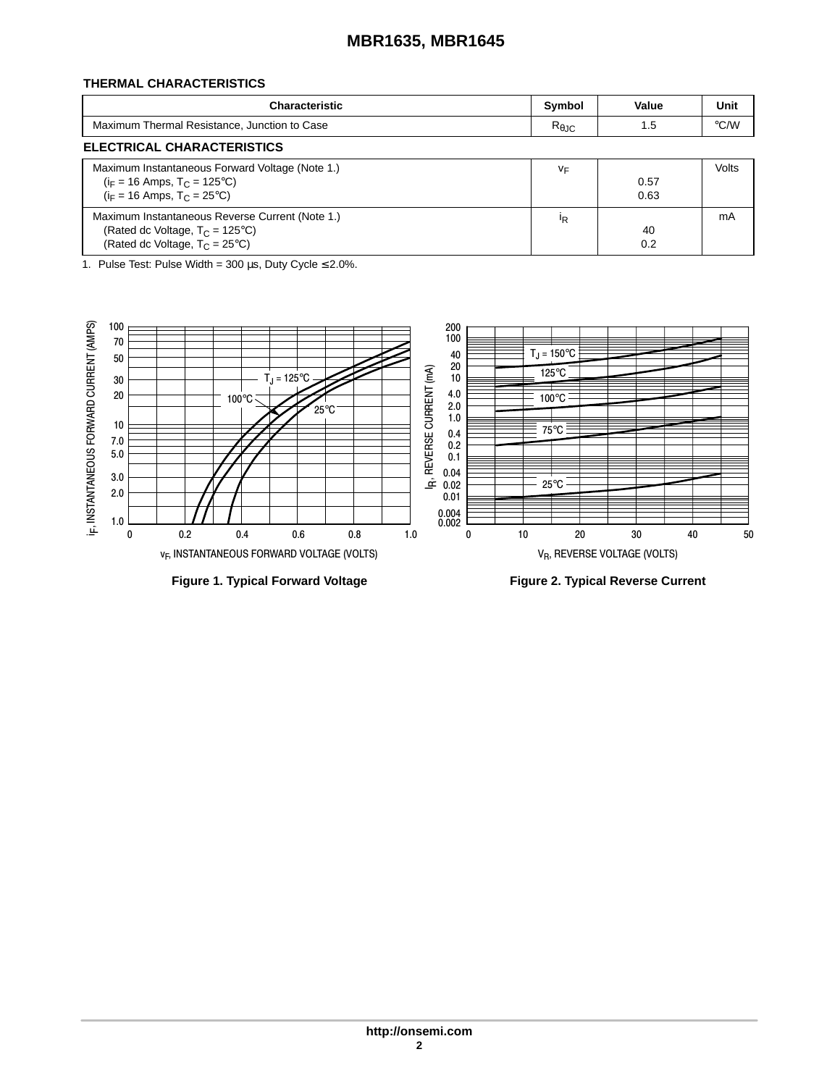# **MBR1635, MBR1645**

### **THERMAL CHARACTERISTICS**

| Characteristic                               | Symbol                 | Value | Unit |
|----------------------------------------------|------------------------|-------|------|
| Maximum Thermal Resistance, Junction to Case | $R_{\theta \text{JC}}$ |       | °C/W |
| <b>ELECTRICAL CHARACTERISTICS</b>            |                        |       |      |

| ELEU IRIUAL UNARAU IERISTIUS                                                                                                             |    |              |       |
|------------------------------------------------------------------------------------------------------------------------------------------|----|--------------|-------|
| Maximum Instantaneous Forward Voltage (Note 1.)<br>$(i_F = 16$ Amps, $T_C = 125^{\circ}C$<br>$(i_F = 16$ Amps, $T_C = 25^{\circ}C$       | ٧F | 0.57<br>0.63 | Volts |
| Maximum Instantaneous Reverse Current (Note 1.)<br>(Rated dc Voltage, $T_C = 125^{\circ}C$ )<br>(Rated dc Voltage, $T_C = 25^{\circ}C$ ) | ΙR | 40<br>0.2    | mA    |

1. Pulse Test: Pulse Width =  $300 \,\mu s$ , Duty Cycle  $\leq 2.0\%$ .

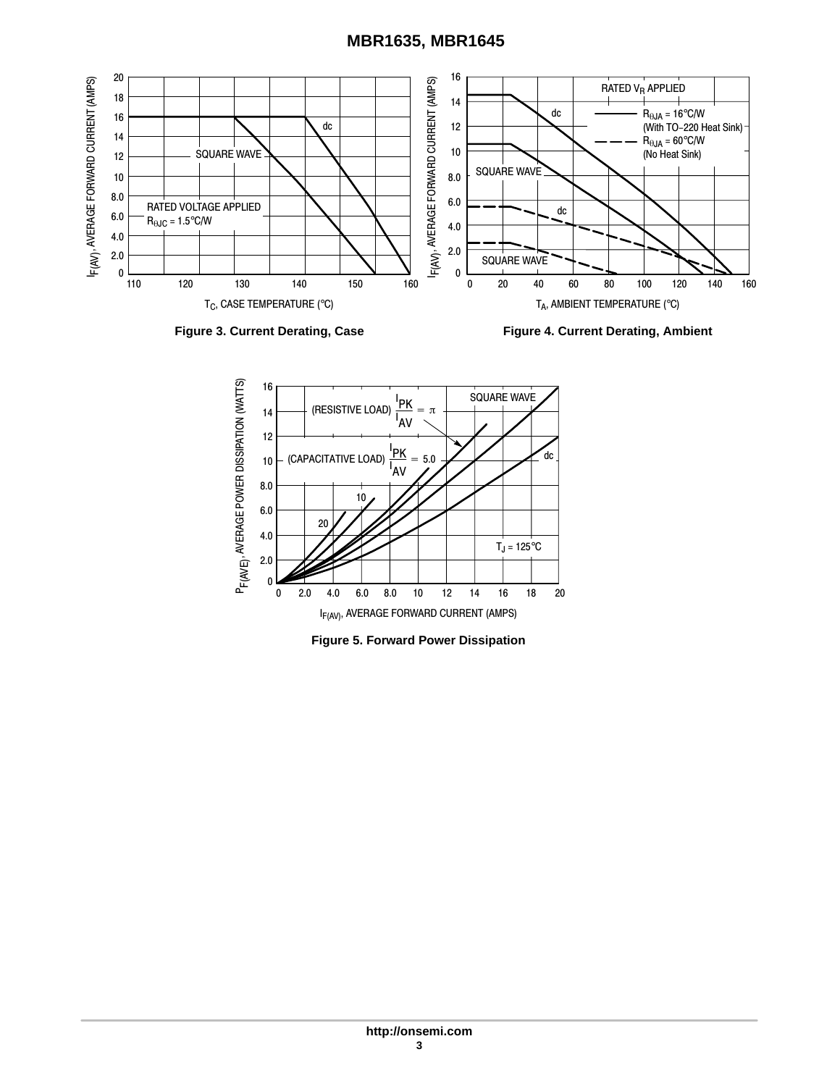## **MBR1635, MBR1645**





Figure 3. Current Derating, Case **Figure 4. Current Derating, Ambient** 



**Figure 5. Forward Power Dissipation**